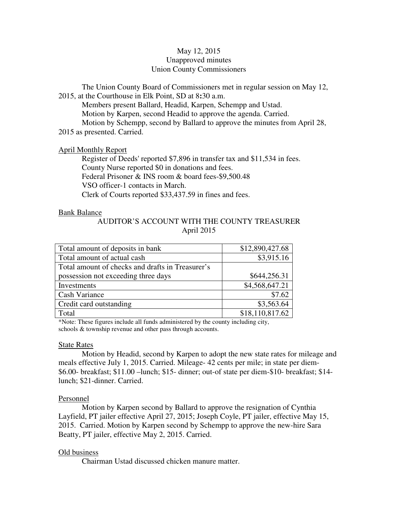# May 12, 2015 Unapproved minutes Union County Commissioners

The Union County Board of Commissioners met in regular session on May 12, 2015, at the Courthouse in Elk Point, SD at 8**:**30 a.m.

 Members present Ballard, Headid, Karpen, Schempp and Ustad. Motion by Karpen, second Headid to approve the agenda. Carried. Motion by Schempp, second by Ballard to approve the minutes from April 28, 2015 as presented. Carried.

# April Monthly Report

 Register of Deeds' reported \$7,896 in transfer tax and \$11,534 in fees. County Nurse reported \$0 in donations and fees. Federal Prisoner & INS room & board fees-\$9,500.48 VSO officer-1 contacts in March. Clerk of Courts reported \$33,437.59 in fines and fees.

## Bank Balance

# AUDITOR'S ACCOUNT WITH THE COUNTY TREASURER April 2015

| Total amount of deposits in bank                 | \$12,890,427.68 |
|--------------------------------------------------|-----------------|
| Total amount of actual cash                      | \$3,915.16      |
| Total amount of checks and drafts in Treasurer's |                 |
| possession not exceeding three days              | \$644,256.31    |
| Investments                                      | \$4,568,647.21  |
| <b>Cash Variance</b>                             | \$7.62          |
| Credit card outstanding                          | \$3,563.64      |
| Total                                            | \$18,110,817.62 |

\*Note: These figures include all funds administered by the county including city, schools & township revenue and other pass through accounts.

## State Rates

 Motion by Headid, second by Karpen to adopt the new state rates for mileage and meals effective July 1, 2015. Carried. Mileage- 42 cents per mile; in state per diem- \$6.00- breakfast; \$11.00 –lunch; \$15- dinner; out-of state per diem-\$10- breakfast; \$14 lunch; \$21-dinner. Carried.

## Personnel

 Motion by Karpen second by Ballard to approve the resignation of Cynthia Layfield, PT jailer effective April 27, 2015; Joseph Coyle, PT jailer, effective May 15, 2015. Carried. Motion by Karpen second by Schempp to approve the new-hire Sara Beatty, PT jailer, effective May 2, 2015. Carried.

## Old business

Chairman Ustad discussed chicken manure matter.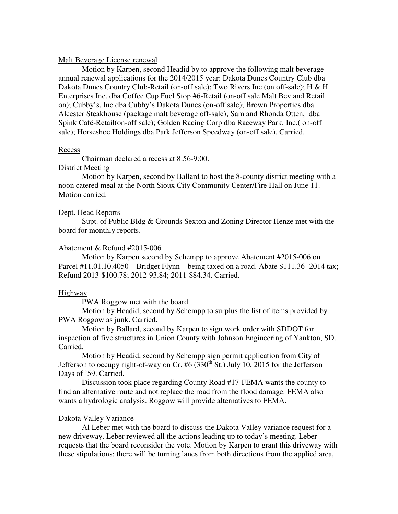## Malt Beverage License renewal

 Motion by Karpen, second Headid by to approve the following malt beverage annual renewal applications for the 2014/2015 year: Dakota Dunes Country Club dba Dakota Dunes Country Club-Retail (on-off sale); Two Rivers Inc (on off-sale); H & H Enterprises Inc. dba Coffee Cup Fuel Stop #6-Retail (on-off sale Malt Bev and Retail on); Cubby's, Inc dba Cubby's Dakota Dunes (on-off sale); Brown Properties dba Alcester Steakhouse (package malt beverage off-sale); Sam and Rhonda Otten, dba Spink Café-Retail(on-off sale); Golden Racing Corp dba Raceway Park, Inc.( on-off sale); Horseshoe Holdings dba Park Jefferson Speedway (on-off sale). Carried.

#### Recess

Chairman declared a recess at 8:56-9:00.

## District Meeting

 Motion by Karpen, second by Ballard to host the 8-county district meeting with a noon catered meal at the North Sioux City Community Center/Fire Hall on June 11. Motion carried.

#### Dept. Head Reports

 Supt. of Public Bldg & Grounds Sexton and Zoning Director Henze met with the board for monthly reports.

#### Abatement & Refund #2015-006

 Motion by Karpen second by Schempp to approve Abatement #2015-006 on Parcel #11.01.10.4050 – Bridget Flynn – being taxed on a road. Abate \$111.36 -2014 tax; Refund 2013-\$100.78; 2012-93.84; 2011-\$84.34. Carried.

#### Highway

PWA Roggow met with the board.

 Motion by Headid, second by Schempp to surplus the list of items provided by PWA Roggow as junk. Carried.

 Motion by Ballard, second by Karpen to sign work order with SDDOT for inspection of five structures in Union County with Johnson Engineering of Yankton, SD. Carried.

 Motion by Headid, second by Schempp sign permit application from City of Jefferson to occupy right-of-way on Cr. #6  $(330<sup>th</sup>$  St.) July 10, 2015 for the Jefferson Days of '59. Carried.

 Discussion took place regarding County Road #17-FEMA wants the county to find an alternative route and not replace the road from the flood damage. FEMA also wants a hydrologic analysis. Roggow will provide alternatives to FEMA.

## Dakota Valley Variance

 Al Leber met with the board to discuss the Dakota Valley variance request for a new driveway. Leber reviewed all the actions leading up to today's meeting. Leber requests that the board reconsider the vote. Motion by Karpen to grant this driveway with these stipulations: there will be turning lanes from both directions from the applied area,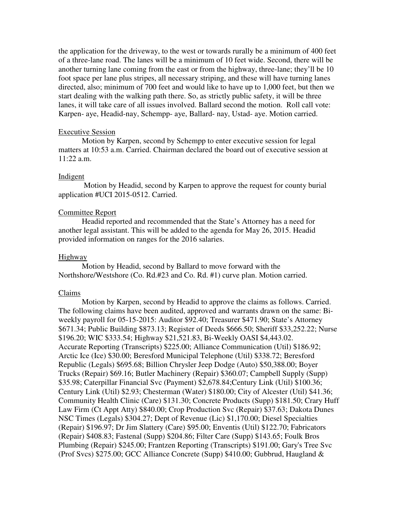the application for the driveway, to the west or towards rurally be a minimum of 400 feet of a three-lane road. The lanes will be a minimum of 10 feet wide. Second, there will be another turning lane coming from the east or from the highway, three-lane; they'll be 10 foot space per lane plus stripes, all necessary striping, and these will have turning lanes directed, also; minimum of 700 feet and would like to have up to 1,000 feet, but then we start dealing with the walking path there. So, as strictly public safety, it will be three lanes, it will take care of all issues involved. Ballard second the motion. Roll call vote: Karpen- aye, Headid-nay, Schempp- aye, Ballard- nay, Ustad- aye. Motion carried.

## Executive Session

 Motion by Karpen, second by Schempp to enter executive session for legal matters at 10:53 a.m. Carried. Chairman declared the board out of executive session at 11:22 a.m.

# Indigent

 Motion by Headid, second by Karpen to approve the request for county burial application #UCI 2015-0512. Carried.

# Committee Report

 Headid reported and recommended that the State's Attorney has a need for another legal assistant. This will be added to the agenda for May 26, 2015. Headid provided information on ranges for the 2016 salaries.

## Highway

 Motion by Headid, second by Ballard to move forward with the Northshore/Westshore (Co. Rd.#23 and Co. Rd. #1) curve plan. Motion carried.

# Claims

 Motion by Karpen, second by Headid to approve the claims as follows. Carried. The following claims have been audited, approved and warrants drawn on the same: Biweekly payroll for 05-15-2015: Auditor \$92.40; Treasurer \$471.90; State's Attorney \$671.34; Public Building \$873.13; Register of Deeds \$666.50; Sheriff \$33,252.22; Nurse \$196.20; WIC \$333.54; Highway \$21,521.83, Bi-Weekly OASI \$4,443.02. Accurate Reporting (Transcripts) \$225.00; Alliance Communication (Util) \$186.92; Arctic Ice (Ice) \$30.00; Beresford Municipal Telephone (Util) \$338.72; Beresford Republic (Legals) \$695.68; Billion Chrysler Jeep Dodge (Auto) \$50,388.00; Boyer Trucks (Repair) \$69.16; Butler Machinery (Repair) \$360.07; Campbell Supply (Supp) \$35.98; Caterpillar Financial Svc (Payment) \$2,678.84;Century Link (Util) \$100.36; Century Link (Util) \$2.93; Chesterman (Water) \$180.00; City of Alcester (Util) \$41.36; Community Health Clinic (Care) \$131.30; Concrete Products (Supp) \$181.50; Crary Huff Law Firm (Ct Appt Atty) \$840.00; Crop Production Svc (Repair) \$37.63; Dakota Dunes NSC Times (Legals) \$304.27; Dept of Revenue (Lic) \$1,170.00; Diesel Specialties (Repair) \$196.97; Dr Jim Slattery (Care) \$95.00; Enventis (Util) \$122.70; Fabricators (Repair) \$408.83; Fastenal (Supp) \$204.86; Filter Care (Supp) \$143.65; Foulk Bros Plumbing (Repair) \$245.00; Frantzen Reporting (Transcripts) \$191.00; Gary's Tree Svc (Prof Svcs) \$275.00; GCC Alliance Concrete (Supp) \$410.00; Gubbrud, Haugland &